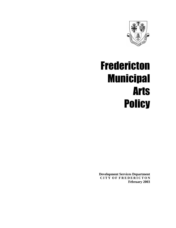

# Fredericton Municipal Arts **Policy**

**Development Services Department C I T Y O F F R E D E R I C T O N February 2003**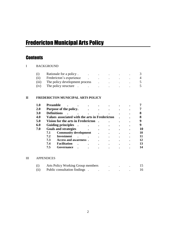# Fredericton Municipal Arts Policy

# **Contents**

I BACKGROUND

| (1)   | Rationale for a policy.        |           |  |  |
|-------|--------------------------------|-----------|--|--|
| (i)   | Fredericton's experience       | $\bullet$ |  |  |
| (111) | The policy development process |           |  |  |
| (iv)  | The policy structure           | ٠         |  |  |

## **II FREDERICTON MUNICIPAL ARTS POLICY**

| 1.0        | <b>Preamble</b>    |                                                |  |  |  |    |
|------------|--------------------|------------------------------------------------|--|--|--|----|
| <b>2.0</b> |                    | Purpose of the policy.                         |  |  |  |    |
| <b>3.0</b> | <b>Definitions</b> |                                                |  |  |  |    |
| 4.0        |                    | Values associated with the arts in Fredericton |  |  |  |    |
| 5.0        |                    | Vision for the arts in Fredericton             |  |  |  |    |
| 6.0        |                    | <b>Guiding principles</b>                      |  |  |  |    |
| 7.0        |                    | <b>Goals and strategies</b>                    |  |  |  | 10 |
|            | 7.1                | <b>Community development</b>                   |  |  |  | 10 |
|            | 7.2                | <b>Investment</b>                              |  |  |  |    |
|            | 7.3                | Access and awareness.                          |  |  |  | 12 |
|            | 7.4                | <b>Facilitation</b>                            |  |  |  | 13 |
|            | 7.5                | Governance                                     |  |  |  |    |
|            |                    |                                                |  |  |  |    |

## III APPENDICES

| (i)  | Arts Policy Working Group members |  |  |
|------|-----------------------------------|--|--|
| (ii) | Public consultation findings.     |  |  |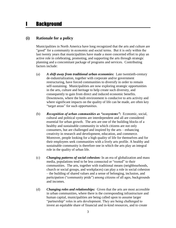# **I** Background

# **(i) Rationale for a policy**

Municipalities in North America have long recognized that the arts and culture are "good" for a community in economic and social terms. But it is only within the last twenty years that municipalities have made a more concerted effort to play an active role in celebrating, promoting, and supporting the arts through strategic planning and a concomitant package of programs and services. Contributing factors include:

- (a) *A shift away from traditional urban economies:* Late twentieth-century de-industrialization, together with corporate and/or government restructuring, have forced communities to diversify in order to remain self-sustaining. Municipalities are now exploring strategic opportunities in the arts, culture and heritage to help create such diversity, and consequently to gain from direct and induced economic benefits. Downtowns, where the built environment is conducive to arts activity and where significant impacts on the quality of life can be made, are often key "target areas" for such opportunities.
- (b) *Recognition of urban communities as "ecosystems":* Economic, social, cultural and political systems are interdependent and all are considered essential for urban growth. The arts are one of the building blocks of a healthy and sustainable community in which citizens are not only consumers, but are challenged and inspired by the arts – enhancing creativity in research and development, education, and commerce. Moreover, people looking for a high quality of life for themselves and for their employees seek communities with a lively arts profile. A healthy and sustainable community is therefore one in which the arts play an integral role in the quality of urban life.
- (c) *Changing patterns of social cohesion:* In an era of globalization and mass media, populations tend to be less connected or "rooted" to their communities. The arts, together with traditional means (neighbourhoods, church or social groups, and workplaces) can play a role in social cohesion – the building of shared values and a sense of belonging, inclusion, and participation ("community pride") among citizens of all ages, backgrounds and incomes.
- (d) *Changing roles and relationships:* Given that the arts are most accessible in urban communities, where there is the corresponding infrastructure and human capital, municipalities are being called upon to assume larger "partnership" roles in arts development. They are being challenged to invest an equitable share of financial and in-kind resources, and to create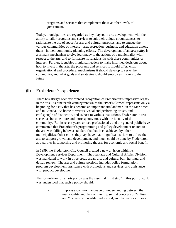programs and services that complement those at other levels of government.

Today, municipalities are regarded as key players in arts development, with the ability to tailor programs and services to suit their unique circumstances, to rationalize the use of space for arts and cultural purposes, and to engage the various communities of interest – arts, recreation, business, and education among them - in their community planning efforts. The development of an *arts policy* is a primary mechanism to give legitimacy to the actions of a municipality with respect to the arts, and to formalize its relationship with these communities of interest. Further, it enables municipal leaders to make informed decisions about how to invest in the arts, the programs and services it should offer, what organizational and procedural mechanisms it should develop to serve the community, and what goals and strategies it should employ as it looks to the future.

## **(ii) Fredericton's experience**

There has always been widespread recognition of Fredericton's impressive legacy in the arts. Its nineteenth-century renown as the "Poet's Corner" represents only a beginning for a city that has become an important arts landmark in the Maritimes and in Canada. As home to writers, visual and performing artists, and craftspeople of distinction, and as host to various institutions, Fredericton's arts scene has become more and more synonymous with the identity of the community. But in recent years, artists, professionals, and the general public have commented that Fredericton's programming and policy development related to the arts was falling below a standard that has been achieved by other municipalities. Other cities, they say, have made significant strides to utilize the arts to support growth and development, and much could be done by Fredericton as a partner in supporting and promoting the arts for economic and social benefit.

In 1999, the Fredericton City Council created a new division within its Development Services Department. The Heritage and Cultural Affairs Division was mandated to work in three broad areas: arts and culture, built heritage, and design review. The arts and culture portfolio includes policy formulation, program development, assistance with promotions and services, and assistance with product development.

The formulation of an arts policy was the essential "first step" in this portfolio. It was understood that such a policy should:

(a) Express a common language of understanding between the municipality and the community, so that concepts of "culture" and "the arts" are readily understood, and the values embraced;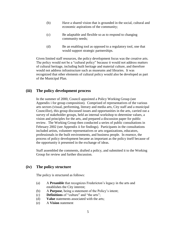- (b) Have a shared vision that is grounded in the social, cultural and economic aspirations of the community;
- (c) Be adaptable and flexible so as to respond to changing community needs;
- (d) Be an enabling tool as opposed to a regulatory tool, one that would support strategic partnerships.

Given limited staff resources, the policy development focus was the creative arts. The policy would not be a "cultural policy" because it would not address matters of cultural heritage, including built heritage and material culture, and therefore would not address infrastructure such as museums and libraries. It was recognized that other elements of cultural policy would also be developed as part of the Municipal Plan.

# **(iii) The policy development process**

In the summer of 2000, Council appointed a Policy Working Group (see Appendix i for group composition). Comprised of representatives of the various arts sectors (visual, performing, literary and media arts, City staff and a municipal Councillor), this group discussed issues and opportunities in the arts, carried out a survey of stakeholder groups, held an internal workshop to determine values, a vision and principles for the arts, and prepared a discussion paper for public review. The Working Group then conducted a series of public consultations in February 2002 (see Appendix ii for findings). Participants in the consultations included artists, volunteer representatives or arts organizations, educators, professionals in the built environments, and business people. In essence, the process of policy development became as important as the policy itself because of the opportunity it presented in the exchange of ideas.

Staff assembled the comments, drafted a policy, and submitted it to the Working Group for review and further discussion.

# **(iv) The policy structure**

The policy is structured as follows:

- (a) A **Preamble** that recognizes Fredericton's legacy in the arts and establishes the City interest;
- (b) A **Purpose**, being a statement of the Policy's intent;
- (c) **Definitions** of "culture" and "the arts";
- (d) **Value** statements associated with the arts;
- (e) A **Vision** statement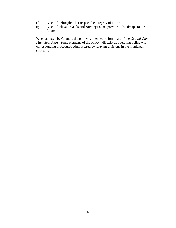- (f) A set of **Principles** that respect the integrity of the arts
- (g) A set of relevant **Goals and Strategies** that provide a "roadmap" to the future.

When adopted by Council, the policy is intended to form part of the *Capital City Municipal Plan*. Some elements of the policy will exist as operating policy with corresponding procedures administered by relevant divisions in the municipal structure.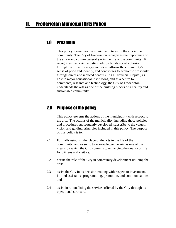# 1.0 Preamble

This policy formalizes the municipal interest in the arts in the community. The City of Fredericton recognizes the importance of the arts – and culture generally – in the life of the community. It recognizes that a rich artistic tradition builds social cohesion through the flow of energy and ideas, affirms the community's sense of pride and identity, and contributes to economic prosperity through direct and induced benefits. As a Provincial Capital, as host to major educational institutions, and as a centre for commerce, research and technology, the City of Fredericton understands the arts as one of the building blocks of a healthy and sustainable community.

# 2.0 Purpose of the policy

This policy governs the actions of the municipality with respect to the arts. The actions of the municipality, including those policies and procedures subsequently developed, subscribe to the values, vision and guiding principles included in this policy. The purpose of this policy is to:

- 2.1 Formally establish the place of the arts in the life of the community, and as such, to acknowledge the arts as one of the means by which the City commits to enhancing the quality of life for citizens and visitors;
- 2.2 define the role of the City in community development utilizing the arts;
- 2.3 assist the City in its decision-making with respect to investment, in-kind assistance, programming, promotion, and communications; and
- 2.4 assist in rationalizing the services offered by the City through its operational structure.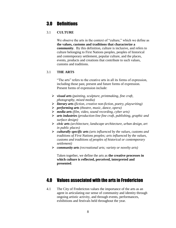# 3.0 Definitions

# 3.1 **CULTURE**

We observe the arts in the context of "culture," which we define as **the values, customs and traditions that characterize a community**. By this definition, culture is inclusive, and refers to culture belonging to First Nations peoples, peoples of historical and contemporary settlement, popular culture, and the places, events, products and creations that contribute to such values, customs and traditions.

# 3.1 **THE ARTS**

"The arts" refers to the creative arts in all its forms of expression, including those past, present and future forms of expression. Present forms of expression include:

- ➢ *visual arts (painting, sculpture, printmaking, fine craft, photography, mixed media)*
- ➢ *literary arts (fiction, creative non-fiction, poetry, playwriting)*
- ➢ *performing arts (theatre, music, dance, opera)*
- ➢ *media arts (film, video, sound recording, cyber arts)*
- ➢ *arts industries (production-line fine craft, publishing, graphic and surface design)*
- ➢ *civic arts (architecture, landscape architecture, urban design, art in public places)*
- ➢ *culturally specific arts (arts influenced by the values, customs and traditions of First Nations peoples; arts influenced by the values, customs and traditions of peoples of historical or contemporary settlement)*
- ➢ *community arts (recreational arts; variety or novelty arts)*

Taken together, we define the arts as **the creative processes in which culture is reflected, perceived, interpreted and presented**.

# 4.0 Values associated with the arts in Fredericton

4.1 The City of Fredericton values the importance of the arts as an agent in articulating our sense of community and identity through ongoing artistic activity, and through events, performances, exhibitions and festivals held throughout the year.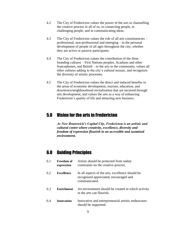- 4.2 The City of Fredericton values the power of the arts in channelling the creative process in all of us, in connecting people, in challenging people, and in communicating ideas.
- 4.3 The City of Fredericton values the role of all arts constituencies professional, non-professional and emerging – in the personal development of people of all ages throughout the city, whether they are active or passive participants.
- 4.4 The City of Fredericton values the contribution of the three founding cultures – First Nations peoples, Acadians and other francophones, and British – to the arts in the community, values all other cultures adding to the city's cultural mosaic, and recognizes the diversity of artistic processes.
- 4.5 The City of Fredericton values the direct and induced benefits in the areas of economic development, tourism, education, and downtown/neighbourhood revitalization that are incurred through arts development, and values the arts as a way of enhancing Fredericton's quality of life and attracting new business.

# 5.0 Vision for the arts in Fredericton

*As New Brunswick's Capital City, Fredericton is an artistic and cultural centre where creativity, excellence, diversity and freedom of expression flourish in an accessible and sustained environment.*

# 6.0 Guiding Principles

| 6.1 | <b>Freedom of</b><br>expression | Artists should be protected from undue<br>constraints on the creative process.                              |
|-----|---------------------------------|-------------------------------------------------------------------------------------------------------------|
| 6.2 | <b>Excellence</b>               | In all aspects of the arts, excellence should be<br>recognized appreciated, encouraged and<br>communicated. |
| 6.3 | <b>Enrichment</b>               | An environment should be created in which activity<br>in the arts can flourish.                             |
| 6.4 | <b>Innovation</b>               | Innovative and entrepreneurial artistic endeavours<br>should be supported.                                  |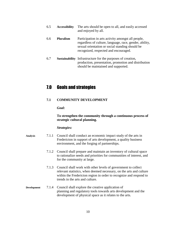- 6.5 **Accessibility** The arts should be open to all, and easily accessed and enjoyed by all.
- 6.6 **Pluralism** Participation in arts activity amongst all people, regardless of culture, language, race, gender, ability, sexual orientation or social standing should be recognized, respected and encouraged.
- 6.7 **Sustainability** Infrastructure for the purposes of creation, production, presentation, promotion and distribution should be maintained and supported.

# 7.0 Goals and strategies

## **7.1 COMMUNITY DEVELOPMENT**

*Goal:*

## **To strengthen the community through a continuous process of strategic cultural planning.**

- **Analysis** 7.1.1 Council shall conduct an economic impact study of the arts in Fredericton in support of arts development, a quality business environment, and the forging of partnerships.
	- 7.1.2 Council shall prepare and maintain an inventory of cultural space to rationalize needs and priorities for communities of interest, and for the community at large.
	- 7.1.3 Council shall work with other levels of government to collect relevant statistics, when deemed necessary, on the arts and culture within the Fredericton region in order to recognize and respond to trends in the arts and culture.
- **Development** 7.1.4 Council shall explore the creative application of planning and regulatory tools towards arts development and the development of physical space as it relates to the arts.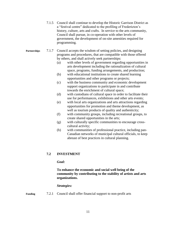- 7.1.5 Council shall continue to develop the Historic Garrison District as a "festival centre" dedicated to the profiling of Fredericton's history, culture, arts and crafts. In service to the arts community, Council shall pursue, in co-operation with other levels of government, the development of on-site amenities required for programming.
- **Partnerships** 7.1.7 Council accepts the wisdom of setting policies, and designing programs and procedures, that are compatible with those offered by others, and shall actively seek partnerships:
	- (a) with other levels of government regarding opportunities in arts development including the rationalization of cultural space, programs, funding arrangements, and production;
	- (b) with educational institutions to create shared learning opportunities and other programs or projects;
	- (c) with the business community and economic development support organizations to participate in and contribute towards the enrichment of cultural space;
	- (d) with custodians of cultural space in order to facilitate their use for performances, exhibitions and other arts events;
	- (e) with local arts organizations and arts attractions regarding opportunities for promotion and theme development, as well as tourism products of quality and authenticity;
	- (f) with community groups, including recreational groups, to create shared opportunities in the arts;
	- (g) with culturally specific communities to encourage crosscultural activity;
	- (h) with communities of professional practice, including pan-Canadian networks of municipal cultural officials, to keep abreast of best practices in cultural planning.

# **7.2 INVESTMENT**

*Goal:*

# **To enhance the economic and social well being of the community by contributing to the stability of artists and arts organizations.**

## *Strategies:*

**Funding** 7.2.1 Council shall offer financial support to non-profit arts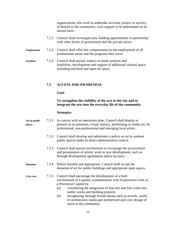organizations who wish to undertake an event, project or activity of benefit to the community, such support to be determined on an annual basis.

- 7.2.2 Council shall investigate new funding opportunities in partnership with other levels of government and the private sector.
- **Employment** 7.2.3 Council shall offer fair compensation in the employment of all professional artists and the programs they serve.
- **Facilities** 7.2.4 Council shall pursue, subject to needs analysis and feasibility, development and support of additional cultural space, including enclosed and open-air space.

## **7.3 ACCESS AND AWARENESS**

*Goal:*

## **To strengthen the visibility of the arts in the city and to integrate the arts into the everyday life of the community.**

| Art in public<br>places |       | 7.3.1 In concert with an operations plan, Council shall display or<br>present on its premises, visual, literary, performing or media art, by<br>professional, non-professional and emerging local artists. |
|-------------------------|-------|------------------------------------------------------------------------------------------------------------------------------------------------------------------------------------------------------------|
|                         |       | 7.3.2 Council shall develop and administer a policy on art in outdoor<br>public spaces under its direct administrative control.                                                                            |
|                         |       | 7.3.3 Council shall pursue mechanisms to encourage the procurement<br>and presentation of artistic work in new development, such as<br>through development agreements and/or by-laws.                      |
| <b>Donation</b>         | 7.3.4 | Where feasible and appropriate, Council shall accept the<br>donation of art for public buildings and appropriate open spaces.                                                                              |
| Civic arts              |       | 7.3.5 Council shall encourage the development of a built<br>environment of a quality commensurate with Fredericton's role as<br>a Provincial Capital by                                                    |

- (a) considering the integration of fine arts and fine crafts into public works and building projects;
- (b) recognizing, through formal means such as awards, works of architecture, landscape architecture and civic design of merit in the community.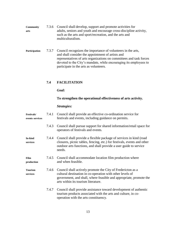- **Community** 7.3.6 Council shall develop, support and promote activities for **arts** adults, seniors and youth and encourage cross-discipline activity, such as the arts and sport/recreation, and the arts and multiculturalism.
- **Participation** 7.3.7 Council recognizes the importance of volunteers in the arts, and shall consider the appointment of artists and representatives of arts organizations on committees and task forces devoted to the City's mandate, while encouraging its employees to participate in the arts as volunteers.

## **7.4 FACILITATION**

*Goal:*

## **To strengthen the operational effectiveness of arts activity.**

| <b>Festivals/</b><br>events services | 7.4.1 | Council shall provide an effective co-ordination service for<br>festivals and events, including guidance on permits.                                                                                                                  |
|--------------------------------------|-------|---------------------------------------------------------------------------------------------------------------------------------------------------------------------------------------------------------------------------------------|
|                                      | 7.4.3 | Council shall pursue support for shared information/retail space for<br>operators of festivals and events.                                                                                                                            |
| In-kind<br>services                  | 7.4.4 | Council shall provide a flexible package of services in kind (road<br>closures, picnic tables, fencing, etc.) for festivals, events and other<br>outdoor arts functions, and shall provide a user guide to service<br>needs.          |
| <b>Film</b><br>production            | 7.4.5 | Council shall accommodate location film production where<br>and when feasible.                                                                                                                                                        |
| <b>Tourism</b><br>services           | 7.4.6 | Council shall actively promote the City of Fredericton as a<br>cultural destination in co-operation with other levels of<br>government, and shall, where feasible and appropriate, promote the<br>arts within its tourism literature. |
|                                      | 7.4.7 | Council shall provide assistance toward development of authentic<br>tourism products associated with the arts and culture, in co-<br>operation with the arts constituency.                                                            |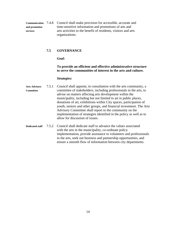**Communication** 7.4.8 Council shall make provision for accessible, accurate and **and promotion** time-sensitive information and promotions of arts and **services** arts activities to the benefit of residents, visitors and arts organizations.

#### **7.5 GOVERNANCE**

*Goal:* 

## **To provide an efficient and effective administrative structure to serve the communities of interest in the arts and culture.**

- **Arts Advisory** 7.5.1 Council shall appoint, in consultation with the arts community, a **Committee** committee of stakeholders, including professionals in the arts, to advise on matters affecting arts development within the municipality, including but not limited to art in public places, donations of art, exhibitions within City spaces, participation of youth, seniors and other groups, and financial investment. The Arts Advisory Committee shall report to the community on the implementation of strategies identified in the policy as well as to allow for discussion of issues.
- **Dedicated staff** 7.5.2 Council shall dedicate staff to advance the values associated with the arts in the municipality, co-ordinate policy implementation, provide assistance to volunteers and professionals in the arts, seek out business and partnership opportunities, and ensure a smooth flow of information between city departments.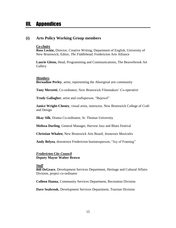# III. Appendices

# **(i) Arts Policy Working Group members**

#### *Co-chairs*

**Ross Leckie,** Director, Creative Writing, Department of English, University of New Brunswick; Editor, *The Fiddlehead*; Fredericton Arts Alliance

**Laurie Glenn,** Head, Programming and Communications, The Beaverbrook Art **Gallery** 

#### *Members*

**Bernadine Perley**, artist, representing the Aboriginal arts community

**Tony Merzetti**, Co-ordinator, New Brunswick Filmmakers' Co-operative

**Trudy Gallagher**, artist and craftsperson, "Bejewel"

**Janice Wright-Cheney**, visual artist, instructor, New Brunswick College of Craft and Design

**Ilkay Silk**, Drama Co-ordinator, St. Thomas University

**Melissa Durling**, General Manager, Harvest Jazz and Blues Festival

**Christian Whalen**, New Brunswick Arts Board; *Jeunesses Musicales*

**Andy Belyea**, downtown Fredericton businessperson, "Joy of Framing"

## *Fredericton City Council* **Deputy Mayor Walter Brown**

#### *Staff*

**Bill DeGrace**, Development Services Department, Heritage and Cultural Affairs Division, project co-ordinator

**Colleen Hanna**, Community Services Department, Recreation Division

**Dave Seabrook**, Development Services Department, Tourism Division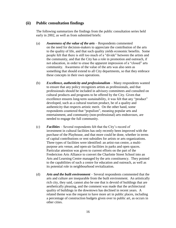# **(ii) Public consultation findings**

The following summarizes the findings from the public consultation series held early in 2002, as well as from submitted briefs:

- (a) *Awareness of the value of the arts* Respondents commented on the need for decision-makers to appreciate the contribution of the arts to the quality of life, and that such quality yields economic benefits. Some people felt that there is still too much of a "divide" between the artists and the community, and that the City has a role in promotion and outreach, if not education, in order to erase the apparent impression of a "closed" arts community. Awareness of the value of the arts was also seen as something that should extend to all City departments, so that they embrace these concepts in their own operations.
- (b) *Excellence, authenticity and professionalism* Many respondents wanted to ensure that any policy recognizes artists as professionals, and that professionals should be included in advisory committees and consulted on cultural products and programs to be offered by the City. Given that excellence ensures long-term sustainability, it was felt that any "product" developed, such as a cultural tourism product, be of a quality and authenticity that respects artistic merit. On the other hand, some respondents countered that "populism", meaning popular arts and entertainment, and community (non-professional) arts endeavours, are needed to engage the full community.
- (c) *Facilities*  Several respondents felt that the City's record of investment in cultural facilities has only recently been improved with the purchase of the Playhouse, and that more could be done, whether in terms of capital contributions or rent subsidies for artists or arts organizations. Three types of facilities were identified: an artist-run centre, a multipurpose arts venue, and open-air facilities in parks and open spaces. Particular attention was given to current efforts on the part of the Fredericton Arts Alliance to convert the Charlotte Street School into an Arts and Learning Centre managed by the arts constituency. They pointed to the capabilities of such a centre for education and outreach, as well as its potential role in neighbourhood revitalization.
- (d) *Arts and the built environment* Several respondents commented that the arts and culture are inseparable from the built environment. An artistically rich city, they said, cannot also be one that is devoid of buildings that are aesthetically pleasing, and the comment was made that the architectural quality of buildings in the downtown has declined in recent years. A related theme was the request to have more art in public places, including a percentage of construction budgets given over to public art, as occurs in other cities.